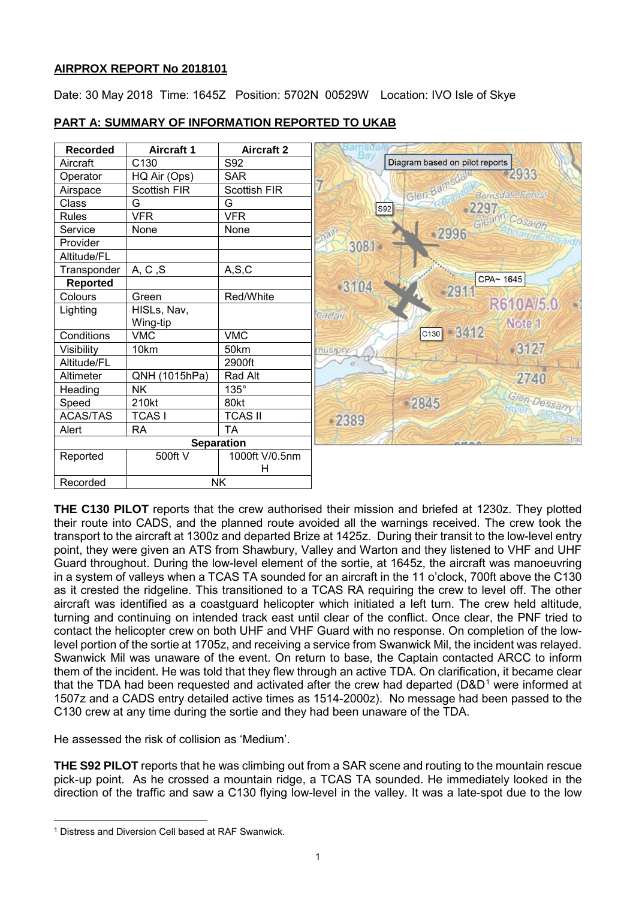# **AIRPROX REPORT No 2018101**

Date: 30 May 2018 Time: 1645Z Position: 5702N 00529W Location: IVO Isle of Skye



# **PART A: SUMMARY OF INFORMATION REPORTED TO UKAB**

**THE C130 PILOT** reports that the crew authorised their mission and briefed at 1230z. They plotted their route into CADS, and the planned route avoided all the warnings received. The crew took the transport to the aircraft at 1300z and departed Brize at 1425z. During their transit to the low-level entry point, they were given an ATS from Shawbury, Valley and Warton and they listened to VHF and UHF Guard throughout. During the low-level element of the sortie, at 1645z, the aircraft was manoeuvring in a system of valleys when a TCAS TA sounded for an aircraft in the 11 o'clock, 700ft above the C130 as it crested the ridgeline. This transitioned to a TCAS RA requiring the crew to level off. The other aircraft was identified as a coastguard helicopter which initiated a left turn. The crew held altitude, turning and continuing on intended track east until clear of the conflict. Once clear, the PNF tried to contact the helicopter crew on both UHF and VHF Guard with no response. On completion of the lowlevel portion of the sortie at 1705z, and receiving a service from Swanwick Mil, the incident was relayed. Swanwick Mil was unaware of the event. On return to base, the Captain contacted ARCC to inform them of the incident. He was told that they flew through an active TDA. On clarification, it became clear that the TDA had been requested and activated after the crew had departed ( $D&D<sup>1</sup>$  $D&D<sup>1</sup>$  $D&D<sup>1</sup>$  were informed at 1507z and a CADS entry detailed active times as 1514-2000z). No message had been passed to the C130 crew at any time during the sortie and they had been unaware of the TDA.

He assessed the risk of collision as 'Medium'.

**THE S92 PILOT** reports that he was climbing out from a SAR scene and routing to the mountain rescue pick-up point. As he crossed a mountain ridge, a TCAS TA sounded. He immediately looked in the direction of the traffic and saw a C130 flying low-level in the valley. It was a late-spot due to the low

 $\overline{\phantom{a}}$ 

<span id="page-0-0"></span><sup>1</sup> Distress and Diversion Cell based at RAF Swanwick.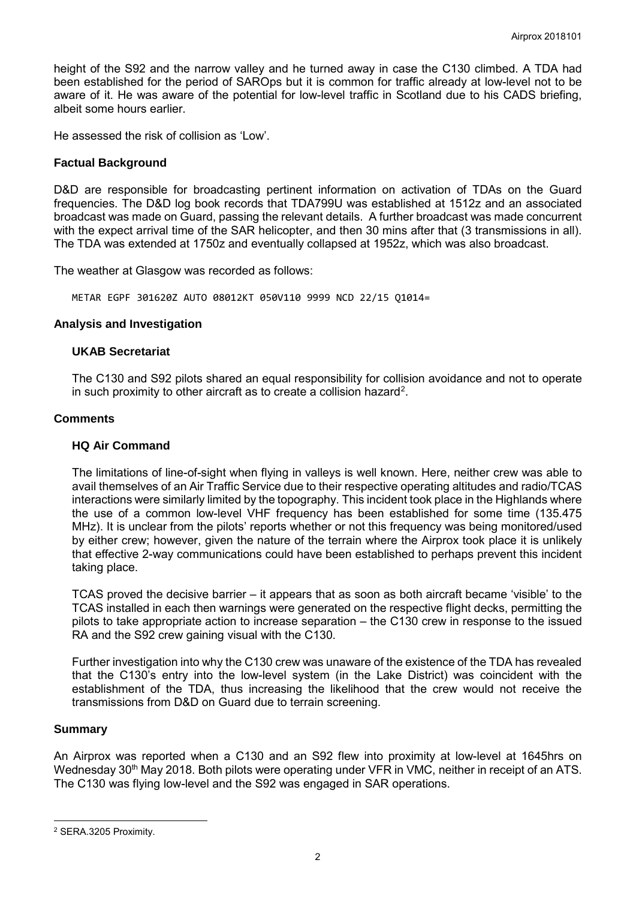height of the S92 and the narrow valley and he turned away in case the C130 climbed. A TDA had been established for the period of SAROps but it is common for traffic already at low-level not to be aware of it. He was aware of the potential for low-level traffic in Scotland due to his CADS briefing, albeit some hours earlier.

He assessed the risk of collision as 'Low'.

### **Factual Background**

D&D are responsible for broadcasting pertinent information on activation of TDAs on the Guard frequencies. The D&D log book records that TDA799U was established at 1512z and an associated broadcast was made on Guard, passing the relevant details. A further broadcast was made concurrent with the expect arrival time of the SAR helicopter, and then 30 mins after that (3 transmissions in all). The TDA was extended at 1750z and eventually collapsed at 1952z, which was also broadcast.

The weather at Glasgow was recorded as follows:

METAR EGPF 301620Z AUTO 08012KT 050V110 9999 NCD 22/15 Q1014=

# **Analysis and Investigation**

### **UKAB Secretariat**

The C130 and S92 pilots shared an equal responsibility for collision avoidance and not to operate in such proximity to other aircraft as to create a collision hazard<sup>2</sup>.

### **Comments**

### **HQ Air Command**

The limitations of line-of-sight when flying in valleys is well known. Here, neither crew was able to avail themselves of an Air Traffic Service due to their respective operating altitudes and radio/TCAS interactions were similarly limited by the topography. This incident took place in the Highlands where the use of a common low-level VHF frequency has been established for some time (135.475 MHz). It is unclear from the pilots' reports whether or not this frequency was being monitored/used by either crew; however, given the nature of the terrain where the Airprox took place it is unlikely that effective 2-way communications could have been established to perhaps prevent this incident taking place.

TCAS proved the decisive barrier – it appears that as soon as both aircraft became 'visible' to the TCAS installed in each then warnings were generated on the respective flight decks, permitting the pilots to take appropriate action to increase separation – the C130 crew in response to the issued RA and the S92 crew gaining visual with the C130.

Further investigation into why the C130 crew was unaware of the existence of the TDA has revealed that the C130's entry into the low-level system (in the Lake District) was coincident with the establishment of the TDA, thus increasing the likelihood that the crew would not receive the transmissions from D&D on Guard due to terrain screening.

#### **Summary**

 $\overline{\phantom{a}}$ 

An Airprox was reported when a C130 and an S92 flew into proximity at low-level at 1645hrs on Wednesday 30<sup>th</sup> May 2018. Both pilots were operating under VFR in VMC, neither in receipt of an ATS. The C130 was flying low-level and the S92 was engaged in SAR operations.

<span id="page-1-0"></span><sup>2</sup> SERA.3205 Proximity.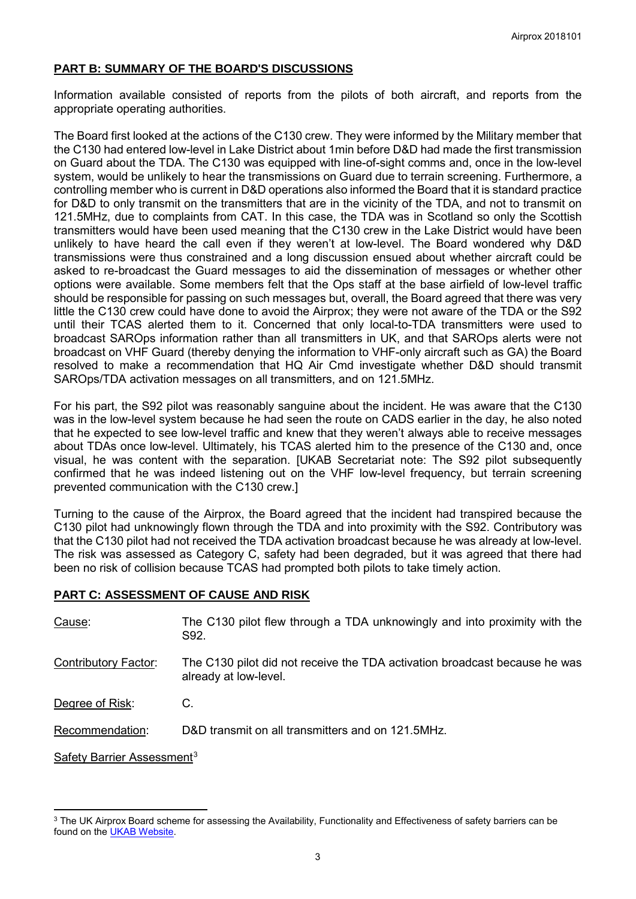# **PART B: SUMMARY OF THE BOARD'S DISCUSSIONS**

Information available consisted of reports from the pilots of both aircraft, and reports from the appropriate operating authorities.

The Board first looked at the actions of the C130 crew. They were informed by the Military member that the C130 had entered low-level in Lake District about 1min before D&D had made the first transmission on Guard about the TDA. The C130 was equipped with line-of-sight comms and, once in the low-level system, would be unlikely to hear the transmissions on Guard due to terrain screening. Furthermore, a controlling member who is current in D&D operations also informed the Board that it is standard practice for D&D to only transmit on the transmitters that are in the vicinity of the TDA, and not to transmit on 121.5MHz, due to complaints from CAT. In this case, the TDA was in Scotland so only the Scottish transmitters would have been used meaning that the C130 crew in the Lake District would have been unlikely to have heard the call even if they weren't at low-level. The Board wondered why D&D transmissions were thus constrained and a long discussion ensued about whether aircraft could be asked to re-broadcast the Guard messages to aid the dissemination of messages or whether other options were available. Some members felt that the Ops staff at the base airfield of low-level traffic should be responsible for passing on such messages but, overall, the Board agreed that there was very little the C130 crew could have done to avoid the Airprox; they were not aware of the TDA or the S92 until their TCAS alerted them to it. Concerned that only local-to-TDA transmitters were used to broadcast SAROps information rather than all transmitters in UK, and that SAROps alerts were not broadcast on VHF Guard (thereby denying the information to VHF-only aircraft such as GA) the Board resolved to make a recommendation that HQ Air Cmd investigate whether D&D should transmit SAROps/TDA activation messages on all transmitters, and on 121.5MHz.

For his part, the S92 pilot was reasonably sanguine about the incident. He was aware that the C130 was in the low-level system because he had seen the route on CADS earlier in the day, he also noted that he expected to see low-level traffic and knew that they weren't always able to receive messages about TDAs once low-level. Ultimately, his TCAS alerted him to the presence of the C130 and, once visual, he was content with the separation. [UKAB Secretariat note: The S92 pilot subsequently confirmed that he was indeed listening out on the VHF low-level frequency, but terrain screening prevented communication with the C130 crew.]

Turning to the cause of the Airprox, the Board agreed that the incident had transpired because the C130 pilot had unknowingly flown through the TDA and into proximity with the S92. Contributory was that the C130 pilot had not received the TDA activation broadcast because he was already at low-level. The risk was assessed as Category C, safety had been degraded, but it was agreed that there had been no risk of collision because TCAS had prompted both pilots to take timely action.

# **PART C: ASSESSMENT OF CAUSE AND RISK**

l

| Cause:                                 | The C130 pilot flew through a TDA unknowingly and into proximity with the<br>S92.                   |
|----------------------------------------|-----------------------------------------------------------------------------------------------------|
| Contributory Factor:                   | The C130 pilot did not receive the TDA activation broadcast because he was<br>already at low-level. |
| Degree of Risk:                        | C.                                                                                                  |
| Recommendation:                        | D&D transmit on all transmitters and on 121.5MHz.                                                   |
| Safety Barrier Assessment <sup>3</sup> |                                                                                                     |

<span id="page-2-0"></span><sup>&</sup>lt;sup>3</sup> The UK Airprox Board scheme for assessing the Availability, Functionality and Effectiveness of safety barriers can be found on the [UKAB Website.](http://www.airproxboard.org.uk/Learn-more/Airprox-Barrier-Assessment/)